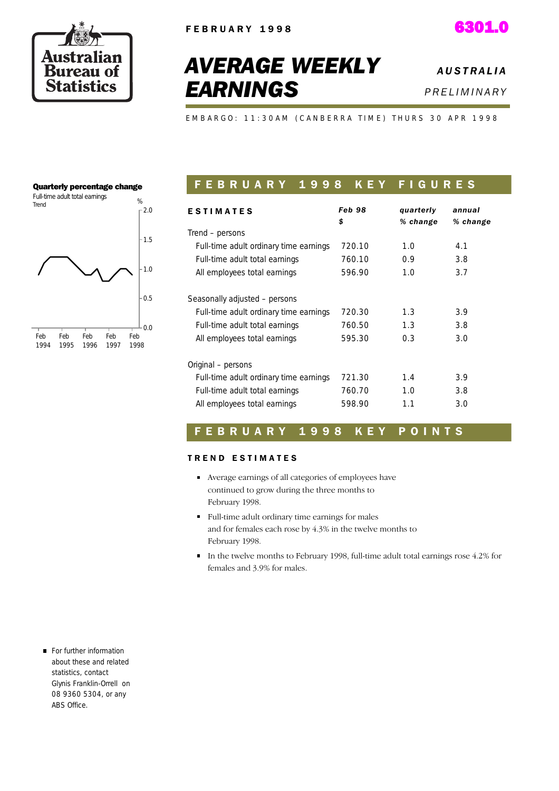



# *AVERAGE WEEKLY EARNINGS*

*A U S T R A L I A P R E L I M I N A R Y* 

EMBARGO: 11:30AM (CANBERRA TIME) THURS 30 APR 1998

## Quarterly percentage change



## FEBRUARY 1998 KEY FIGURES

| <b>ESTIMATES</b>                       | Feb 98<br>\$ | quarterly<br>% change | annual<br>% change |
|----------------------------------------|--------------|-----------------------|--------------------|
| Trend – persons                        |              |                       |                    |
| Full-time adult ordinary time earnings | 720.10       | 1.0                   | 4.1                |
| Full-time adult total earnings         | 760.10       | 0.9                   | 3.8                |
| All employees total earnings           | 596.90       | 1.0                   | 3.7                |
|                                        |              |                       |                    |
| Seasonally adjusted - persons          |              |                       |                    |
| Full-time adult ordinary time earnings | 720.30       | 1.3                   | 3.9                |
| Full-time adult total earnings         | 760.50       | 1.3                   | 3.8                |
| All employees total earnings           | 595.30       | 0.3                   | 3.0                |
|                                        |              |                       |                    |
| Original - persons                     |              |                       |                    |
| Full-time adult ordinary time earnings | 721.30       | 1.4                   | 3.9                |
| Full-time adult total earnings         | 760.70       | 1.0                   | 3.8                |
| All employees total earnings           | 598.90       | 1.1                   | 3.0                |

## F E B R U A R Y 1 9 9 8 K E Y P O I N T S

## TREND ESTIMATES

- Average earnings of all categories of employees have continued to grow during the three months to February 1998.
- Full-time adult ordinary time earnings for males and for females each rose by 4.3% in the twelve months to February 1998.
- In the twelve months to February 1998, full-time adult total earnings rose 4.2% for females and 3.9% for males.

For further information about these and related statistics, contact Glynis Franklin-Orrell on 08 9360 5304, or any ABS Office.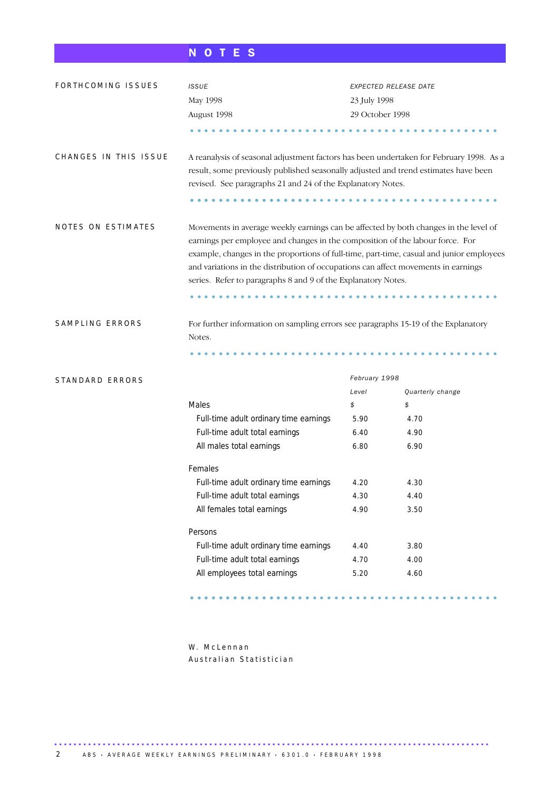## N O T E S

| FORTHCOMING ISSUES    | <b>ISSUE</b>                                                                                                                                                                                                                                                                                                                                                                                                             | EXPECTED RELEASE DATE |                  |  |  |  |  |
|-----------------------|--------------------------------------------------------------------------------------------------------------------------------------------------------------------------------------------------------------------------------------------------------------------------------------------------------------------------------------------------------------------------------------------------------------------------|-----------------------|------------------|--|--|--|--|
|                       | May 1998                                                                                                                                                                                                                                                                                                                                                                                                                 | 23 July 1998          |                  |  |  |  |  |
|                       | August 1998                                                                                                                                                                                                                                                                                                                                                                                                              | 29 October 1998       |                  |  |  |  |  |
|                       |                                                                                                                                                                                                                                                                                                                                                                                                                          |                       |                  |  |  |  |  |
| CHANGES IN THIS ISSUE | A reanalysis of seasonal adjustment factors has been undertaken for February 1998. As a<br>result, some previously published seasonally adjusted and trend estimates have been<br>revised. See paragraphs 21 and 24 of the Explanatory Notes.                                                                                                                                                                            |                       |                  |  |  |  |  |
| NOTES ON ESTIMATES    | Movements in average weekly earnings can be affected by both changes in the level of<br>earnings per employee and changes in the composition of the labour force. For<br>example, changes in the proportions of full-time, part-time, casual and junior employees<br>and variations in the distribution of occupations can affect movements in earnings<br>series. Refer to paragraphs 8 and 9 of the Explanatory Notes. |                       |                  |  |  |  |  |
| SAMPLING ERRORS       | For further information on sampling errors see paragraphs 15-19 of the Explanatory<br>Notes.                                                                                                                                                                                                                                                                                                                             |                       |                  |  |  |  |  |
| STANDARD ERRORS       |                                                                                                                                                                                                                                                                                                                                                                                                                          | February 1998         |                  |  |  |  |  |
|                       |                                                                                                                                                                                                                                                                                                                                                                                                                          | Level                 | Quarterly change |  |  |  |  |
|                       | Males                                                                                                                                                                                                                                                                                                                                                                                                                    | \$                    | \$               |  |  |  |  |
|                       | Full-time adult ordinary time earnings                                                                                                                                                                                                                                                                                                                                                                                   | 5.90                  | 4.70             |  |  |  |  |
|                       | Full-time adult total earnings                                                                                                                                                                                                                                                                                                                                                                                           | 6.40                  | 4.90             |  |  |  |  |
|                       | All males total earnings                                                                                                                                                                                                                                                                                                                                                                                                 | 6.80                  | 6.90             |  |  |  |  |
|                       | Females                                                                                                                                                                                                                                                                                                                                                                                                                  |                       |                  |  |  |  |  |
|                       | Full-time adult ordinary time earnings                                                                                                                                                                                                                                                                                                                                                                                   | 4.20                  | 4.30             |  |  |  |  |
|                       | Full-time adult total earnings                                                                                                                                                                                                                                                                                                                                                                                           | 4.30                  | 4.40             |  |  |  |  |
|                       | All females total earnings                                                                                                                                                                                                                                                                                                                                                                                               | 4.90                  | 3.50             |  |  |  |  |
|                       | Persons                                                                                                                                                                                                                                                                                                                                                                                                                  |                       |                  |  |  |  |  |
|                       | Full-time adult ordinary time earnings                                                                                                                                                                                                                                                                                                                                                                                   | 4.40                  | 3.80             |  |  |  |  |
|                       | Full-time adult total earnings                                                                                                                                                                                                                                                                                                                                                                                           | 4.70                  | 4.00             |  |  |  |  |
|                       | All employees total earnings                                                                                                                                                                                                                                                                                                                                                                                             | 5.20                  | 4.60             |  |  |  |  |
|                       |                                                                                                                                                                                                                                                                                                                                                                                                                          |                       |                  |  |  |  |  |

W. McLennan Australian Statistician

..........................................................................................

........................................... .................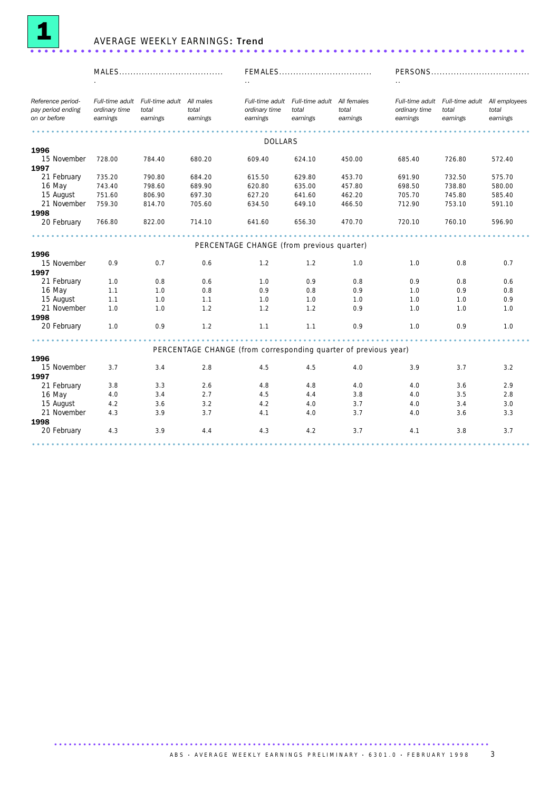

## AVERAGE WEEKLY EARNINGS: Trend .....................................................................

|                                                        |                           |                                                                |                                                                 |                                           | FEMALES                                                          |                   |                           |                                                                    |                   |
|--------------------------------------------------------|---------------------------|----------------------------------------------------------------|-----------------------------------------------------------------|-------------------------------------------|------------------------------------------------------------------|-------------------|---------------------------|--------------------------------------------------------------------|-------------------|
|                                                        |                           |                                                                |                                                                 |                                           |                                                                  |                   |                           |                                                                    |                   |
| Reference period-<br>pay period ending<br>on or before | ordinary time<br>earnings | Full-time adult Full-time adult All males<br>total<br>earnings | total<br>earnings                                               | ordinary time<br>earnings                 | Full-time adult Full-time adult All females<br>total<br>earnings | total<br>earnings | ordinary time<br>earnings | Full-time adult Full-time adult All employees<br>total<br>earnings | total<br>earnings |
|                                                        |                           |                                                                |                                                                 |                                           |                                                                  |                   |                           |                                                                    |                   |
| 1996                                                   |                           |                                                                |                                                                 | <b>DOLLARS</b>                            |                                                                  |                   |                           |                                                                    |                   |
| 15 November                                            | 728.00                    | 784.40                                                         | 680.20                                                          | 609.40                                    | 624.10                                                           | 450.00            | 685.40                    | 726.80                                                             | 572.40            |
| 1997                                                   |                           |                                                                |                                                                 |                                           |                                                                  |                   |                           |                                                                    |                   |
| 21 February                                            | 735.20                    | 790.80                                                         | 684.20                                                          | 615.50                                    | 629.80                                                           | 453.70            | 691.90                    | 732.50                                                             | 575.70            |
| 16 May                                                 | 743.40                    | 798.60                                                         | 689.90                                                          | 620.80                                    | 635.00                                                           | 457.80            | 698.50                    | 738.80                                                             | 580.00            |
| 15 August                                              | 751.60                    | 806.90                                                         | 697.30                                                          | 627.20                                    | 641.60                                                           | 462.20            | 705.70                    | 745.80                                                             | 585.40            |
| 21 November                                            | 759.30                    | 814.70                                                         | 705.60                                                          | 634.50                                    | 649.10                                                           | 466.50            | 712.90                    | 753.10                                                             | 591.10            |
| 1998                                                   |                           |                                                                |                                                                 |                                           |                                                                  |                   |                           |                                                                    |                   |
| 20 February                                            | 766.80                    | 822.00                                                         | 714.10                                                          | 641.60                                    | 656.30                                                           | 470.70            | 720.10                    | 760.10                                                             | 596.90            |
|                                                        |                           |                                                                |                                                                 |                                           |                                                                  |                   |                           |                                                                    |                   |
|                                                        |                           |                                                                |                                                                 | PERCENTAGE CHANGE (from previous quarter) |                                                                  |                   |                           |                                                                    |                   |
| 1996<br>15 November                                    |                           |                                                                |                                                                 |                                           | 1.2                                                              |                   |                           |                                                                    |                   |
| 1997                                                   | 0.9                       | 0.7                                                            | 0.6                                                             | 1.2                                       |                                                                  | 1.0               | 1.0                       | 0.8                                                                | 0.7               |
| 21 February                                            | 1.0                       | 0.8                                                            | 0.6                                                             | 1.0                                       | 0.9                                                              | 0.8               | 0.9                       | 0.8                                                                | 0.6               |
| 16 May                                                 | 1.1                       | 1.0                                                            | 0.8                                                             | 0.9                                       | 0.8                                                              | 0.9               | 1.0                       | 0.9                                                                | 0.8               |
| 15 August                                              | 1.1                       | 1.0                                                            | 1.1                                                             | 1.0                                       | 1.0                                                              | 1.0               | 1.0                       | 1.0                                                                | 0.9               |
| 21 November                                            | 1.0                       | 1.0                                                            | 1.2                                                             | 1.2                                       | 1.2                                                              | 0.9               | 1.0                       | 1.0                                                                | 1.0               |
| 1998                                                   |                           |                                                                |                                                                 |                                           |                                                                  |                   |                           |                                                                    |                   |
| 20 February                                            | 1.0                       | 0.9                                                            | 1.2                                                             | 1.1                                       | 1.1                                                              | 0.9               | 1.0                       | 0.9                                                                | 1.0               |
|                                                        |                           |                                                                |                                                                 |                                           |                                                                  |                   |                           |                                                                    |                   |
|                                                        |                           |                                                                | PERCENTAGE CHANGE (from corresponding quarter of previous year) |                                           |                                                                  |                   |                           |                                                                    |                   |
| 1996<br>15 November                                    | 3.7                       | 3.4                                                            | 2.8                                                             | 4.5                                       | 4.5                                                              | 4.0               | 3.9                       | 3.7                                                                | 3.2               |
| 1997                                                   |                           |                                                                |                                                                 |                                           |                                                                  |                   |                           |                                                                    |                   |
| 21 February                                            | 3.8                       | 3.3                                                            | 2.6                                                             | 4.8                                       | 4.8                                                              | 4.0               | 4.0                       | 3.6                                                                | 2.9               |
| 16 May                                                 | 4.0                       | 3.4                                                            | 2.7                                                             | 4.5                                       | 4.4                                                              | 3.8               | 4.0                       | 3.5                                                                | 2.8               |
| 15 August                                              | 4.2                       | 3.6                                                            | 3.2                                                             | 4.2                                       | 4.0                                                              | 3.7               | 4.0                       | 3.4                                                                | 3.0               |
| 21 November                                            | 4.3                       | 3.9                                                            | 3.7                                                             | 4.1                                       | 4.0                                                              | 3.7               | 4.0                       | 3.6                                                                | 3.3               |
| 1998                                                   |                           |                                                                |                                                                 |                                           |                                                                  |                   |                           |                                                                    |                   |
| 20 February                                            | 4.3                       | 3.9                                                            | 4.4                                                             | 4.3                                       | 4.2                                                              | 3.7               | 4.1                       | 3.8                                                                | 3.7               |
|                                                        |                           |                                                                |                                                                 |                                           |                                                                  |                   |                           |                                                                    |                   |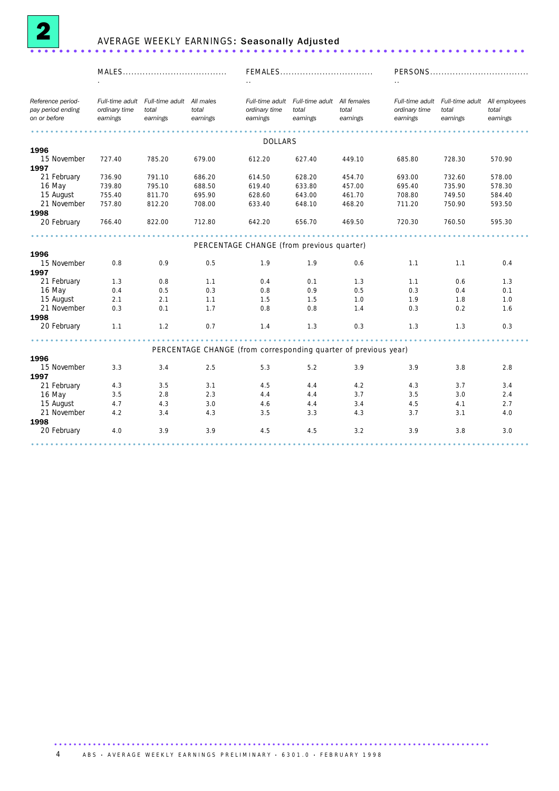

## AVERAGE WEEKLY EARNINGS: Seasonally Adjusted .....................................................................

| Reference period-<br>Full-time adult Full-time adult All males<br>Full-time adult Full-time adult All females<br>Full-time adult Full-time adult All employees<br>pay period ending<br>ordinary time<br>total<br>total<br>ordinary time<br>total<br>total<br>ordinary time<br>total<br>total<br>on or before<br>earnings<br>earnings<br>earnings<br>earnings<br>earnings<br>earnings<br>earnings<br>earnings<br>earnings<br><b>DOLLARS</b><br>1996<br>15 November<br>727.40<br>785.20<br>679.00<br>612.20<br>627.40<br>449.10<br>685.80<br>728.30<br>570.90<br>1997<br>21 February<br>736.90<br>791.10<br>686.20<br>614.50<br>628.20<br>454.70<br>693.00<br>732.60<br>578.00<br>739.80<br>688.50<br>457.00<br>735.90<br>16 May<br>795.10<br>619.40<br>633.80<br>695.40<br>578.30<br>15 August<br>461.70<br>755.40<br>811.70<br>695.90<br>628.60<br>643.00<br>708.80<br>749.50<br>584.40<br>468.20<br>21 November<br>757.80<br>812.20<br>708.00<br>633.40<br>648.10<br>711.20<br>750.90<br>593.50<br>1998<br>20 February<br>766.40<br>822.00<br>642.20<br>469.50<br>720.30<br>595.30<br>712.80<br>656.70<br>760.50<br>PERCENTAGE CHANGE (from previous quarter)<br>1996<br>15 November<br>0.8<br>0.9<br>0.5<br>1.9<br>1.9<br>0.6<br>1.1<br>1.1<br>0.4<br>1997<br>21 February<br>1.3<br>0.4<br>1.3<br>0.8<br>1.1<br>0.1<br>1.3<br>1.1<br>0.6<br>0.3<br>0.5<br>0.3<br>16 May<br>0.4<br>0.5<br>0.8<br>0.9<br>0.4<br>0.1<br>15 August<br>2.1<br>1.9<br>1.0<br>2.1<br>1.1<br>1.5<br>1.5<br>1.0<br>1.8<br>21 November<br>0.3<br>1.7<br>0.2<br>0.1<br>0.8<br>0.8<br>1.4<br>0.3<br>1.6<br>1998<br>20 February<br>0.3<br>1.1<br>1.2<br>0.7<br>0.3<br>1.3<br>1.3<br>1.4<br>1.3<br>PERCENTAGE CHANGE (from corresponding quarter of previous year)<br>1996<br>15 November<br>3.3<br>3.4<br>2.5<br>5.3<br>5.2<br>3.9<br>3.9<br>3.8<br>2.8<br>1997<br>21 February<br>3.4<br>4.3<br>3.5<br>3.1<br>4.5<br>4.2<br>4.3<br>3.7<br>4.4<br>16 May<br>3.5<br>2.8<br>2.3<br>4.4<br>3.7<br>3.5<br>2.4<br>4.4<br>3.0<br>15 August<br>4.7<br>4.3<br>3.0<br>4.6<br>3.4<br>4.5<br>4.1<br>2.7<br>4.4<br>21 November<br>4.2<br>3.5<br>3.4<br>4.3<br>3.3<br>4.3<br>3.7<br>3.1<br>4.0<br>1998<br>20 February<br>3.9<br>3.9<br>4.5<br>3.2<br>3.0<br>4.0<br>4.5<br>3.9<br>3.8 |  |  | FEMALES |  |  |
|---------------------------------------------------------------------------------------------------------------------------------------------------------------------------------------------------------------------------------------------------------------------------------------------------------------------------------------------------------------------------------------------------------------------------------------------------------------------------------------------------------------------------------------------------------------------------------------------------------------------------------------------------------------------------------------------------------------------------------------------------------------------------------------------------------------------------------------------------------------------------------------------------------------------------------------------------------------------------------------------------------------------------------------------------------------------------------------------------------------------------------------------------------------------------------------------------------------------------------------------------------------------------------------------------------------------------------------------------------------------------------------------------------------------------------------------------------------------------------------------------------------------------------------------------------------------------------------------------------------------------------------------------------------------------------------------------------------------------------------------------------------------------------------------------------------------------------------------------------------------------------------------------------------------------------------------------------------------------------------------------------------------------------------------------------------------------------------------------------------------------------------------------------------------------------------------------------------------------------------------|--|--|---------|--|--|
|                                                                                                                                                                                                                                                                                                                                                                                                                                                                                                                                                                                                                                                                                                                                                                                                                                                                                                                                                                                                                                                                                                                                                                                                                                                                                                                                                                                                                                                                                                                                                                                                                                                                                                                                                                                                                                                                                                                                                                                                                                                                                                                                                                                                                                             |  |  |         |  |  |
|                                                                                                                                                                                                                                                                                                                                                                                                                                                                                                                                                                                                                                                                                                                                                                                                                                                                                                                                                                                                                                                                                                                                                                                                                                                                                                                                                                                                                                                                                                                                                                                                                                                                                                                                                                                                                                                                                                                                                                                                                                                                                                                                                                                                                                             |  |  |         |  |  |
|                                                                                                                                                                                                                                                                                                                                                                                                                                                                                                                                                                                                                                                                                                                                                                                                                                                                                                                                                                                                                                                                                                                                                                                                                                                                                                                                                                                                                                                                                                                                                                                                                                                                                                                                                                                                                                                                                                                                                                                                                                                                                                                                                                                                                                             |  |  |         |  |  |
|                                                                                                                                                                                                                                                                                                                                                                                                                                                                                                                                                                                                                                                                                                                                                                                                                                                                                                                                                                                                                                                                                                                                                                                                                                                                                                                                                                                                                                                                                                                                                                                                                                                                                                                                                                                                                                                                                                                                                                                                                                                                                                                                                                                                                                             |  |  |         |  |  |
|                                                                                                                                                                                                                                                                                                                                                                                                                                                                                                                                                                                                                                                                                                                                                                                                                                                                                                                                                                                                                                                                                                                                                                                                                                                                                                                                                                                                                                                                                                                                                                                                                                                                                                                                                                                                                                                                                                                                                                                                                                                                                                                                                                                                                                             |  |  |         |  |  |
|                                                                                                                                                                                                                                                                                                                                                                                                                                                                                                                                                                                                                                                                                                                                                                                                                                                                                                                                                                                                                                                                                                                                                                                                                                                                                                                                                                                                                                                                                                                                                                                                                                                                                                                                                                                                                                                                                                                                                                                                                                                                                                                                                                                                                                             |  |  |         |  |  |
|                                                                                                                                                                                                                                                                                                                                                                                                                                                                                                                                                                                                                                                                                                                                                                                                                                                                                                                                                                                                                                                                                                                                                                                                                                                                                                                                                                                                                                                                                                                                                                                                                                                                                                                                                                                                                                                                                                                                                                                                                                                                                                                                                                                                                                             |  |  |         |  |  |
|                                                                                                                                                                                                                                                                                                                                                                                                                                                                                                                                                                                                                                                                                                                                                                                                                                                                                                                                                                                                                                                                                                                                                                                                                                                                                                                                                                                                                                                                                                                                                                                                                                                                                                                                                                                                                                                                                                                                                                                                                                                                                                                                                                                                                                             |  |  |         |  |  |
|                                                                                                                                                                                                                                                                                                                                                                                                                                                                                                                                                                                                                                                                                                                                                                                                                                                                                                                                                                                                                                                                                                                                                                                                                                                                                                                                                                                                                                                                                                                                                                                                                                                                                                                                                                                                                                                                                                                                                                                                                                                                                                                                                                                                                                             |  |  |         |  |  |
|                                                                                                                                                                                                                                                                                                                                                                                                                                                                                                                                                                                                                                                                                                                                                                                                                                                                                                                                                                                                                                                                                                                                                                                                                                                                                                                                                                                                                                                                                                                                                                                                                                                                                                                                                                                                                                                                                                                                                                                                                                                                                                                                                                                                                                             |  |  |         |  |  |
|                                                                                                                                                                                                                                                                                                                                                                                                                                                                                                                                                                                                                                                                                                                                                                                                                                                                                                                                                                                                                                                                                                                                                                                                                                                                                                                                                                                                                                                                                                                                                                                                                                                                                                                                                                                                                                                                                                                                                                                                                                                                                                                                                                                                                                             |  |  |         |  |  |
|                                                                                                                                                                                                                                                                                                                                                                                                                                                                                                                                                                                                                                                                                                                                                                                                                                                                                                                                                                                                                                                                                                                                                                                                                                                                                                                                                                                                                                                                                                                                                                                                                                                                                                                                                                                                                                                                                                                                                                                                                                                                                                                                                                                                                                             |  |  |         |  |  |
|                                                                                                                                                                                                                                                                                                                                                                                                                                                                                                                                                                                                                                                                                                                                                                                                                                                                                                                                                                                                                                                                                                                                                                                                                                                                                                                                                                                                                                                                                                                                                                                                                                                                                                                                                                                                                                                                                                                                                                                                                                                                                                                                                                                                                                             |  |  |         |  |  |
|                                                                                                                                                                                                                                                                                                                                                                                                                                                                                                                                                                                                                                                                                                                                                                                                                                                                                                                                                                                                                                                                                                                                                                                                                                                                                                                                                                                                                                                                                                                                                                                                                                                                                                                                                                                                                                                                                                                                                                                                                                                                                                                                                                                                                                             |  |  |         |  |  |
|                                                                                                                                                                                                                                                                                                                                                                                                                                                                                                                                                                                                                                                                                                                                                                                                                                                                                                                                                                                                                                                                                                                                                                                                                                                                                                                                                                                                                                                                                                                                                                                                                                                                                                                                                                                                                                                                                                                                                                                                                                                                                                                                                                                                                                             |  |  |         |  |  |
|                                                                                                                                                                                                                                                                                                                                                                                                                                                                                                                                                                                                                                                                                                                                                                                                                                                                                                                                                                                                                                                                                                                                                                                                                                                                                                                                                                                                                                                                                                                                                                                                                                                                                                                                                                                                                                                                                                                                                                                                                                                                                                                                                                                                                                             |  |  |         |  |  |
|                                                                                                                                                                                                                                                                                                                                                                                                                                                                                                                                                                                                                                                                                                                                                                                                                                                                                                                                                                                                                                                                                                                                                                                                                                                                                                                                                                                                                                                                                                                                                                                                                                                                                                                                                                                                                                                                                                                                                                                                                                                                                                                                                                                                                                             |  |  |         |  |  |
|                                                                                                                                                                                                                                                                                                                                                                                                                                                                                                                                                                                                                                                                                                                                                                                                                                                                                                                                                                                                                                                                                                                                                                                                                                                                                                                                                                                                                                                                                                                                                                                                                                                                                                                                                                                                                                                                                                                                                                                                                                                                                                                                                                                                                                             |  |  |         |  |  |
|                                                                                                                                                                                                                                                                                                                                                                                                                                                                                                                                                                                                                                                                                                                                                                                                                                                                                                                                                                                                                                                                                                                                                                                                                                                                                                                                                                                                                                                                                                                                                                                                                                                                                                                                                                                                                                                                                                                                                                                                                                                                                                                                                                                                                                             |  |  |         |  |  |
|                                                                                                                                                                                                                                                                                                                                                                                                                                                                                                                                                                                                                                                                                                                                                                                                                                                                                                                                                                                                                                                                                                                                                                                                                                                                                                                                                                                                                                                                                                                                                                                                                                                                                                                                                                                                                                                                                                                                                                                                                                                                                                                                                                                                                                             |  |  |         |  |  |
|                                                                                                                                                                                                                                                                                                                                                                                                                                                                                                                                                                                                                                                                                                                                                                                                                                                                                                                                                                                                                                                                                                                                                                                                                                                                                                                                                                                                                                                                                                                                                                                                                                                                                                                                                                                                                                                                                                                                                                                                                                                                                                                                                                                                                                             |  |  |         |  |  |
|                                                                                                                                                                                                                                                                                                                                                                                                                                                                                                                                                                                                                                                                                                                                                                                                                                                                                                                                                                                                                                                                                                                                                                                                                                                                                                                                                                                                                                                                                                                                                                                                                                                                                                                                                                                                                                                                                                                                                                                                                                                                                                                                                                                                                                             |  |  |         |  |  |
|                                                                                                                                                                                                                                                                                                                                                                                                                                                                                                                                                                                                                                                                                                                                                                                                                                                                                                                                                                                                                                                                                                                                                                                                                                                                                                                                                                                                                                                                                                                                                                                                                                                                                                                                                                                                                                                                                                                                                                                                                                                                                                                                                                                                                                             |  |  |         |  |  |
|                                                                                                                                                                                                                                                                                                                                                                                                                                                                                                                                                                                                                                                                                                                                                                                                                                                                                                                                                                                                                                                                                                                                                                                                                                                                                                                                                                                                                                                                                                                                                                                                                                                                                                                                                                                                                                                                                                                                                                                                                                                                                                                                                                                                                                             |  |  |         |  |  |
|                                                                                                                                                                                                                                                                                                                                                                                                                                                                                                                                                                                                                                                                                                                                                                                                                                                                                                                                                                                                                                                                                                                                                                                                                                                                                                                                                                                                                                                                                                                                                                                                                                                                                                                                                                                                                                                                                                                                                                                                                                                                                                                                                                                                                                             |  |  |         |  |  |
|                                                                                                                                                                                                                                                                                                                                                                                                                                                                                                                                                                                                                                                                                                                                                                                                                                                                                                                                                                                                                                                                                                                                                                                                                                                                                                                                                                                                                                                                                                                                                                                                                                                                                                                                                                                                                                                                                                                                                                                                                                                                                                                                                                                                                                             |  |  |         |  |  |
|                                                                                                                                                                                                                                                                                                                                                                                                                                                                                                                                                                                                                                                                                                                                                                                                                                                                                                                                                                                                                                                                                                                                                                                                                                                                                                                                                                                                                                                                                                                                                                                                                                                                                                                                                                                                                                                                                                                                                                                                                                                                                                                                                                                                                                             |  |  |         |  |  |
|                                                                                                                                                                                                                                                                                                                                                                                                                                                                                                                                                                                                                                                                                                                                                                                                                                                                                                                                                                                                                                                                                                                                                                                                                                                                                                                                                                                                                                                                                                                                                                                                                                                                                                                                                                                                                                                                                                                                                                                                                                                                                                                                                                                                                                             |  |  |         |  |  |
|                                                                                                                                                                                                                                                                                                                                                                                                                                                                                                                                                                                                                                                                                                                                                                                                                                                                                                                                                                                                                                                                                                                                                                                                                                                                                                                                                                                                                                                                                                                                                                                                                                                                                                                                                                                                                                                                                                                                                                                                                                                                                                                                                                                                                                             |  |  |         |  |  |
|                                                                                                                                                                                                                                                                                                                                                                                                                                                                                                                                                                                                                                                                                                                                                                                                                                                                                                                                                                                                                                                                                                                                                                                                                                                                                                                                                                                                                                                                                                                                                                                                                                                                                                                                                                                                                                                                                                                                                                                                                                                                                                                                                                                                                                             |  |  |         |  |  |
|                                                                                                                                                                                                                                                                                                                                                                                                                                                                                                                                                                                                                                                                                                                                                                                                                                                                                                                                                                                                                                                                                                                                                                                                                                                                                                                                                                                                                                                                                                                                                                                                                                                                                                                                                                                                                                                                                                                                                                                                                                                                                                                                                                                                                                             |  |  |         |  |  |
|                                                                                                                                                                                                                                                                                                                                                                                                                                                                                                                                                                                                                                                                                                                                                                                                                                                                                                                                                                                                                                                                                                                                                                                                                                                                                                                                                                                                                                                                                                                                                                                                                                                                                                                                                                                                                                                                                                                                                                                                                                                                                                                                                                                                                                             |  |  |         |  |  |
|                                                                                                                                                                                                                                                                                                                                                                                                                                                                                                                                                                                                                                                                                                                                                                                                                                                                                                                                                                                                                                                                                                                                                                                                                                                                                                                                                                                                                                                                                                                                                                                                                                                                                                                                                                                                                                                                                                                                                                                                                                                                                                                                                                                                                                             |  |  |         |  |  |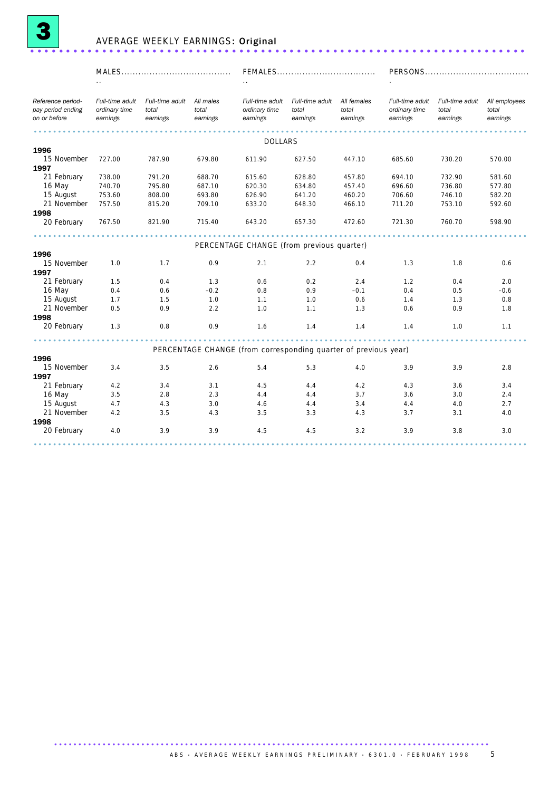

## AVERAGE WEEKLY EARNINGS: Original .....................................................................

| Reference period-<br>pay period ending<br>on or before | Full-time adult<br>ordinary time<br>earnings | Full-time adult<br>total<br>earnings | All males<br>total<br>earnings | Full-time adult<br>ordinary time<br>earnings                    | Full-time adult<br>total<br>earnings | All females<br>total<br>earnings | Full-time adult<br>ordinary time<br>earnings | Full-time adult<br>total<br>earnings | All employees<br>total<br>earnings |
|--------------------------------------------------------|----------------------------------------------|--------------------------------------|--------------------------------|-----------------------------------------------------------------|--------------------------------------|----------------------------------|----------------------------------------------|--------------------------------------|------------------------------------|
|                                                        |                                              |                                      |                                |                                                                 |                                      |                                  |                                              |                                      |                                    |
|                                                        |                                              |                                      |                                | DOLLARS                                                         |                                      |                                  |                                              |                                      |                                    |
| 1996                                                   |                                              |                                      |                                |                                                                 |                                      |                                  |                                              |                                      |                                    |
| 15 November<br>1997                                    | 727.00                                       | 787.90                               | 679.80                         | 611.90                                                          | 627.50                               | 447.10                           | 685.60                                       | 730.20                               | 570.00                             |
| 21 February                                            | 738.00                                       | 791.20                               | 688.70                         | 615.60                                                          | 628.80                               | 457.80                           | 694.10                                       | 732.90                               | 581.60                             |
| 16 May                                                 | 740.70                                       | 795.80                               | 687.10                         | 620.30                                                          | 634.80                               | 457.40                           | 696.60                                       | 736.80                               | 577.80                             |
| 15 August                                              | 753.60                                       | 808.00                               | 693.80                         | 626.90                                                          | 641.20                               | 460.20                           | 706.60                                       | 746.10                               | 582.20                             |
| 21 November                                            | 757.50                                       | 815.20                               | 709.10                         | 633.20                                                          | 648.30                               | 466.10                           | 711.20                                       | 753.10                               | 592.60                             |
| 1998                                                   |                                              |                                      |                                |                                                                 |                                      |                                  |                                              |                                      |                                    |
| 20 February                                            | 767.50                                       | 821.90                               | 715.40                         | 643.20                                                          | 657.30                               | 472.60                           | 721.30                                       | 760.70                               | 598.90                             |
|                                                        |                                              |                                      |                                |                                                                 |                                      |                                  |                                              |                                      |                                    |
|                                                        |                                              |                                      |                                | PERCENTAGE CHANGE (from previous quarter)                       |                                      |                                  |                                              |                                      |                                    |
| 1996                                                   |                                              |                                      |                                |                                                                 |                                      |                                  |                                              |                                      |                                    |
| 15 November                                            | 1.0                                          | 1.7                                  | 0.9                            | 2.1                                                             | 2.2                                  | 0.4                              | 1.3                                          | 1.8                                  | 0.6                                |
| 1997                                                   |                                              |                                      |                                |                                                                 |                                      |                                  |                                              |                                      |                                    |
| 21 February                                            | 1.5                                          | 0.4                                  | 1.3                            | 0.6                                                             | 0.2                                  | 2.4                              | 1.2                                          | 0.4                                  | 2.0                                |
| 16 May                                                 | 0.4                                          | 0.6                                  | $-0.2$                         | 0.8                                                             | 0.9                                  | $-0.1$                           | 0.4                                          | 0.5                                  | $-0.6$                             |
| 15 August                                              | 1.7                                          | 1.5                                  | 1.0                            | 1.1                                                             | 1.0                                  | 0.6                              | 1.4                                          | 1.3                                  | 0.8                                |
| 21 November                                            | 0.5                                          | 0.9                                  | 2.2                            | 1.0                                                             | 1.1                                  | 1.3                              | 0.6                                          | 0.9                                  | 1.8                                |
| 1998                                                   |                                              |                                      |                                |                                                                 |                                      |                                  |                                              |                                      |                                    |
| 20 February                                            | 1.3                                          | 0.8                                  | 0.9                            | 1.6                                                             | 1.4                                  | 1.4                              | 1.4                                          | 1.0                                  | 1.1                                |
|                                                        |                                              |                                      |                                | PERCENTAGE CHANGE (from corresponding quarter of previous year) |                                      |                                  |                                              |                                      |                                    |
| 1996                                                   |                                              |                                      |                                |                                                                 |                                      |                                  |                                              |                                      |                                    |
| 15 November                                            | 3.4                                          | 3.5                                  | 2.6                            | 5.4                                                             | 5.3                                  | 4.0                              | 3.9                                          | 3.9                                  | 2.8                                |
| 1997                                                   |                                              |                                      |                                |                                                                 |                                      |                                  |                                              |                                      |                                    |
| 21 February                                            | 4.2                                          | 3.4                                  | 3.1                            | 4.5                                                             | 4.4                                  | 4.2                              | 4.3                                          | 3.6                                  | 3.4                                |
| 16 May                                                 | 3.5                                          | 2.8                                  | 2.3                            | 4.4                                                             | 4.4                                  | 3.7                              | 3.6                                          | 3.0                                  | 2.4                                |
| 15 August                                              | 4.7                                          | 4.3                                  | 3.0                            | 4.6                                                             | 4.4                                  | 3.4                              | 4.4                                          | 4.0                                  | 2.7                                |
| 21 November                                            | 4.2                                          | 3.5                                  | 4.3                            | 3.5                                                             | 3.3                                  | 4.3                              | 3.7                                          | 3.1                                  | 4.0                                |
| 1998                                                   |                                              |                                      |                                |                                                                 |                                      |                                  |                                              |                                      |                                    |
| 20 February                                            | 4.0                                          | 3.9                                  | 3.9                            | 4.5                                                             | 4.5                                  | 3.2                              | 3.9                                          | 3.8                                  | 3.0                                |
|                                                        |                                              |                                      |                                |                                                                 |                                      |                                  |                                              |                                      |                                    |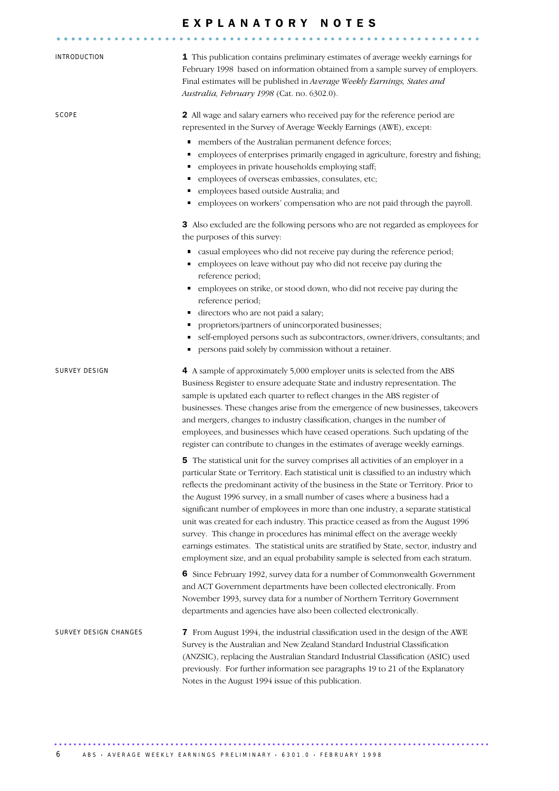|                       | EXPLANATORY NOTES                                                                                                                                                                                                                                                                                                                                                                                                                                                                                                                                                                                                                                                                                                                                                                                                                                                                                                                                                                                                                                                                                                                                                                                                                                                                                                                                                                                                                                                                                                                                                                                        |
|-----------------------|----------------------------------------------------------------------------------------------------------------------------------------------------------------------------------------------------------------------------------------------------------------------------------------------------------------------------------------------------------------------------------------------------------------------------------------------------------------------------------------------------------------------------------------------------------------------------------------------------------------------------------------------------------------------------------------------------------------------------------------------------------------------------------------------------------------------------------------------------------------------------------------------------------------------------------------------------------------------------------------------------------------------------------------------------------------------------------------------------------------------------------------------------------------------------------------------------------------------------------------------------------------------------------------------------------------------------------------------------------------------------------------------------------------------------------------------------------------------------------------------------------------------------------------------------------------------------------------------------------|
| INTRODUCTION          | 1 This publication contains preliminary estimates of average weekly earnings for<br>February 1998 based on information obtained from a sample survey of employers.<br>Final estimates will be published in Average Weekly Earnings, States and<br>Australia, February 1998 (Cat. no. 6302.0).                                                                                                                                                                                                                                                                                                                                                                                                                                                                                                                                                                                                                                                                                                                                                                                                                                                                                                                                                                                                                                                                                                                                                                                                                                                                                                            |
| SCOPE                 | 2 All wage and salary earners who received pay for the reference period are<br>represented in the Survey of Average Weekly Earnings (AWE), except:<br>members of the Australian permanent defence forces;<br>٠<br>employees of enterprises primarily engaged in agriculture, forestry and fishing;<br>٠<br>employees in private households employing staff;<br>٠<br>employees of overseas embassies, consulates, etc;<br>п<br>employees based outside Australia; and<br>٠<br>employees on workers' compensation who are not paid through the payroll.<br>٠<br>3 Also excluded are the following persons who are not regarded as employees for<br>the purposes of this survey:<br>casual employees who did not receive pay during the reference period;<br>٠<br>employees on leave without pay who did not receive pay during the<br>reference period;<br>· employees on strike, or stood down, who did not receive pay during the<br>reference period;<br>directors who are not paid a salary;<br>٠<br>proprietors/partners of unincorporated businesses;<br>٠<br>self-employed persons such as subcontractors, owner/drivers, consultants; and<br>persons paid solely by commission without a retainer.<br>٠                                                                                                                                                                                                                                                                                                                                                                                            |
| SURVEY DESIGN         | 4 A sample of approximately 5,000 employer units is selected from the ABS<br>Business Register to ensure adequate State and industry representation. The<br>sample is updated each quarter to reflect changes in the ABS register of<br>businesses. These changes arise from the emergence of new businesses, takeovers<br>and mergers, changes to industry classification, changes in the number of<br>employees, and businesses which have ceased operations. Such updating of the<br>register can contribute to changes in the estimates of average weekly earnings.<br>5 The statistical unit for the survey comprises all activities of an employer in a<br>particular State or Territory. Each statistical unit is classified to an industry which<br>reflects the predominant activity of the business in the State or Territory. Prior to<br>the August 1996 survey, in a small number of cases where a business had a<br>significant number of employees in more than one industry, a separate statistical<br>unit was created for each industry. This practice ceased as from the August 1996<br>survey. This change in procedures has minimal effect on the average weekly<br>earnings estimates. The statistical units are stratified by State, sector, industry and<br>employment size, and an equal probability sample is selected from each stratum.<br>6 Since February 1992, survey data for a number of Commonwealth Government<br>and ACT Government departments have been collected electronically. From<br>November 1993, survey data for a number of Northern Territory Government |
| SURVEY DESIGN CHANGES | departments and agencies have also been collected electronically.<br>7 From August 1994, the industrial classification used in the design of the AWE<br>Survey is the Australian and New Zealand Standard Industrial Classification<br>(ANZSIC), replacing the Australian Standard Industrial Classification (ASIC) used<br>previously. For further information see paragraphs 19 to 21 of the Explanatory<br>Notes in the August 1994 issue of this publication.                                                                                                                                                                                                                                                                                                                                                                                                                                                                                                                                                                                                                                                                                                                                                                                                                                                                                                                                                                                                                                                                                                                                        |

6 ABS • AVERAGE WEEKLY EARNINGS PRELIMINARY • 6301.0 • FEBRUARY 1998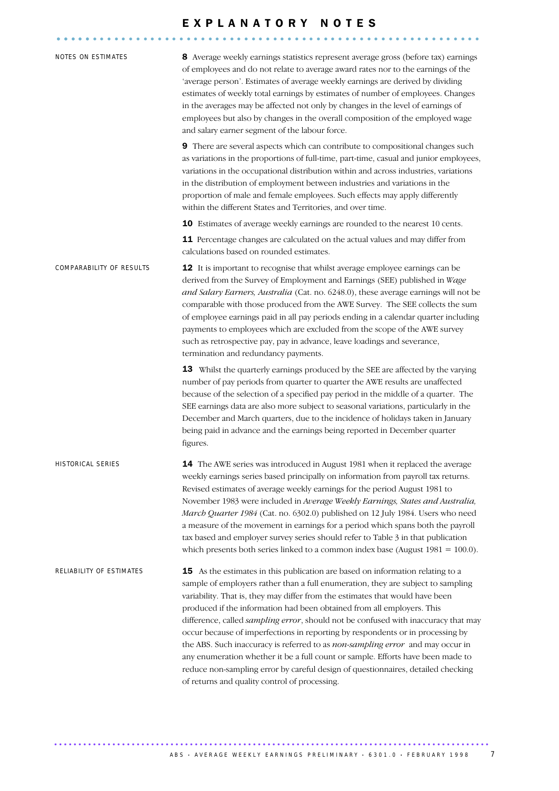# E X P L A N A T O R Y N O T E S ........................................................... .....

| NOTES ON ESTIMATES       | 8 Average weekly earnings statistics represent average gross (before tax) earnings<br>of employees and do not relate to average award rates nor to the earnings of the<br>'average person'. Estimates of average weekly earnings are derived by dividing<br>estimates of weekly total earnings by estimates of number of employees. Changes<br>in the averages may be affected not only by changes in the level of earnings of<br>employees but also by changes in the overall composition of the employed wage<br>and salary earner segment of the labour force.                                                                                                                                                                                                                                               |
|--------------------------|-----------------------------------------------------------------------------------------------------------------------------------------------------------------------------------------------------------------------------------------------------------------------------------------------------------------------------------------------------------------------------------------------------------------------------------------------------------------------------------------------------------------------------------------------------------------------------------------------------------------------------------------------------------------------------------------------------------------------------------------------------------------------------------------------------------------|
|                          | 9 There are several aspects which can contribute to compositional changes such<br>as variations in the proportions of full-time, part-time, casual and junior employees,<br>variations in the occupational distribution within and across industries, variations<br>in the distribution of employment between industries and variations in the<br>proportion of male and female employees. Such effects may apply differently<br>within the different States and Territories, and over time.                                                                                                                                                                                                                                                                                                                    |
|                          | 10 Estimates of average weekly earnings are rounded to the nearest 10 cents.                                                                                                                                                                                                                                                                                                                                                                                                                                                                                                                                                                                                                                                                                                                                    |
|                          | 11 Percentage changes are calculated on the actual values and may differ from<br>calculations based on rounded estimates.                                                                                                                                                                                                                                                                                                                                                                                                                                                                                                                                                                                                                                                                                       |
| COMPARABILITY OF RESULTS | 12 It is important to recognise that whilst average employee earnings can be<br>derived from the Survey of Employment and Earnings (SEE) published in Wage<br>and Salary Earners, Australia (Cat. no. 6248.0), these average earnings will not be<br>comparable with those produced from the AWE Survey. The SEE collects the sum<br>of employee earnings paid in all pay periods ending in a calendar quarter including<br>payments to employees which are excluded from the scope of the AWE survey<br>such as retrospective pay, pay in advance, leave loadings and severance,<br>termination and redundancy payments.                                                                                                                                                                                       |
|                          | 13 Whilst the quarterly earnings produced by the SEE are affected by the varying<br>number of pay periods from quarter to quarter the AWE results are unaffected<br>because of the selection of a specified pay period in the middle of a quarter. The<br>SEE earnings data are also more subject to seasonal variations, particularly in the<br>December and March quarters, due to the incidence of holidays taken in January<br>being paid in advance and the earnings being reported in December quarter<br>figures.                                                                                                                                                                                                                                                                                        |
| HISTORICAL SERIES        | 14 The AWE series was introduced in August 1981 when it replaced the average<br>weekly earnings series based principally on information from payroll tax returns.<br>Revised estimates of average weekly earnings for the period August 1981 to<br>November 1983 were included in Average Weekly Earnings, States and Australia,<br>March Quarter 1984 (Cat. no. 6302.0) published on 12 July 1984. Users who need<br>a measure of the movement in earnings for a period which spans both the payroll<br>tax based and employer survey series should refer to Table 3 in that publication<br>which presents both series linked to a common index base (August $1981 = 100.0$ ).                                                                                                                                 |
| RELIABILITY OF ESTIMATES | 15 As the estimates in this publication are based on information relating to a<br>sample of employers rather than a full enumeration, they are subject to sampling<br>variability. That is, they may differ from the estimates that would have been<br>produced if the information had been obtained from all employers. This<br>difference, called sampling error, should not be confused with inaccuracy that may<br>occur because of imperfections in reporting by respondents or in processing by<br>the ABS. Such inaccuracy is referred to as non-sampling error and may occur in<br>any enumeration whether it be a full count or sample. Efforts have been made to<br>reduce non-sampling error by careful design of questionnaires, detailed checking<br>of returns and quality control of processing. |

.......................................................................................... A B S · A VERA G E WEEKLY EARNINGS PRELIMINARY · 6301.0 · FEBRUARY 1998 7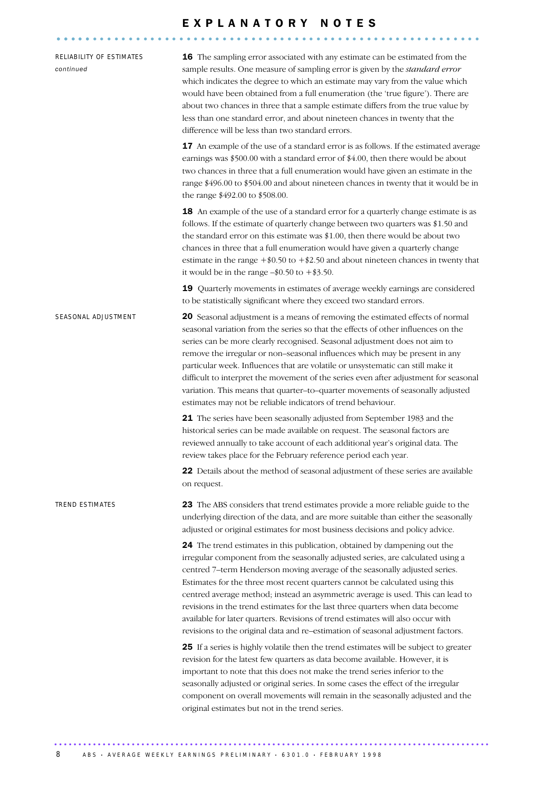# E X P L A N A T O R Y N O T E S ........................................................... .....

| RELIABILITY OF ESTIMATES<br>continued | 16 The sampling error associated with any estimate can be estimated from the<br>sample results. One measure of sampling error is given by the standard error<br>which indicates the degree to which an estimate may vary from the value which<br>would have been obtained from a full enumeration (the 'true figure'). There are<br>about two chances in three that a sample estimate differs from the true value by<br>less than one standard error, and about nineteen chances in twenty that the<br>difference will be less than two standard errors.                                                                                                              |
|---------------------------------------|-----------------------------------------------------------------------------------------------------------------------------------------------------------------------------------------------------------------------------------------------------------------------------------------------------------------------------------------------------------------------------------------------------------------------------------------------------------------------------------------------------------------------------------------------------------------------------------------------------------------------------------------------------------------------|
|                                       | 17 An example of the use of a standard error is as follows. If the estimated average<br>earnings was \$500.00 with a standard error of \$4.00, then there would be about<br>two chances in three that a full enumeration would have given an estimate in the<br>range \$496.00 to \$504.00 and about nineteen chances in twenty that it would be in<br>the range \$492.00 to \$508.00.                                                                                                                                                                                                                                                                                |
|                                       | 18 An example of the use of a standard error for a quarterly change estimate is as<br>follows. If the estimate of quarterly change between two quarters was \$1.50 and<br>the standard error on this estimate was \$1.00, then there would be about two<br>chances in three that a full enumeration would have given a quarterly change<br>estimate in the range $+\$0.50$ to $+\$2.50$ and about nineteen chances in twenty that<br>it would be in the range $-\$0.50$ to $+\$3.50$ .                                                                                                                                                                                |
|                                       | 19 Quarterly movements in estimates of average weekly earnings are considered<br>to be statistically significant where they exceed two standard errors.                                                                                                                                                                                                                                                                                                                                                                                                                                                                                                               |
| SEASONAL ADJUSTMENT                   | 20 Seasonal adjustment is a means of removing the estimated effects of normal<br>seasonal variation from the series so that the effects of other influences on the<br>series can be more clearly recognised. Seasonal adjustment does not aim to<br>remove the irregular or non-seasonal influences which may be present in any<br>particular week. Influences that are volatile or unsystematic can still make it<br>difficult to interpret the movement of the series even after adjustment for seasonal<br>variation. This means that quarter-to-quarter movements of seasonally adjusted<br>estimates may not be reliable indicators of trend behaviour.          |
|                                       | 21 The series have been seasonally adjusted from September 1983 and the<br>historical series can be made available on request. The seasonal factors are<br>reviewed annually to take account of each additional year's original data. The<br>review takes place for the February reference period each year.                                                                                                                                                                                                                                                                                                                                                          |
|                                       | 22 Details about the method of seasonal adjustment of these series are available<br>on request.                                                                                                                                                                                                                                                                                                                                                                                                                                                                                                                                                                       |
| <b>TREND ESTIMATES</b>                | 23 The ABS considers that trend estimates provide a more reliable guide to the<br>underlying direction of the data, and are more suitable than either the seasonally<br>adjusted or original estimates for most business decisions and policy advice.                                                                                                                                                                                                                                                                                                                                                                                                                 |
|                                       | 24 The trend estimates in this publication, obtained by dampening out the<br>irregular component from the seasonally adjusted series, are calculated using a<br>centred 7-term Henderson moving average of the seasonally adjusted series.<br>Estimates for the three most recent quarters cannot be calculated using this<br>centred average method; instead an asymmetric average is used. This can lead to<br>revisions in the trend estimates for the last three quarters when data become<br>available for later quarters. Revisions of trend estimates will also occur with<br>revisions to the original data and re-estimation of seasonal adjustment factors. |
|                                       | 25 If a series is highly volatile then the trend estimates will be subject to greater<br>revision for the latest few quarters as data become available. However, it is<br>important to note that this does not make the trend series inferior to the<br>seasonally adjusted or original series. In some cases the effect of the irregular<br>component on overall movements will remain in the seasonally adjusted and the<br>original estimates but not in the trend series.                                                                                                                                                                                         |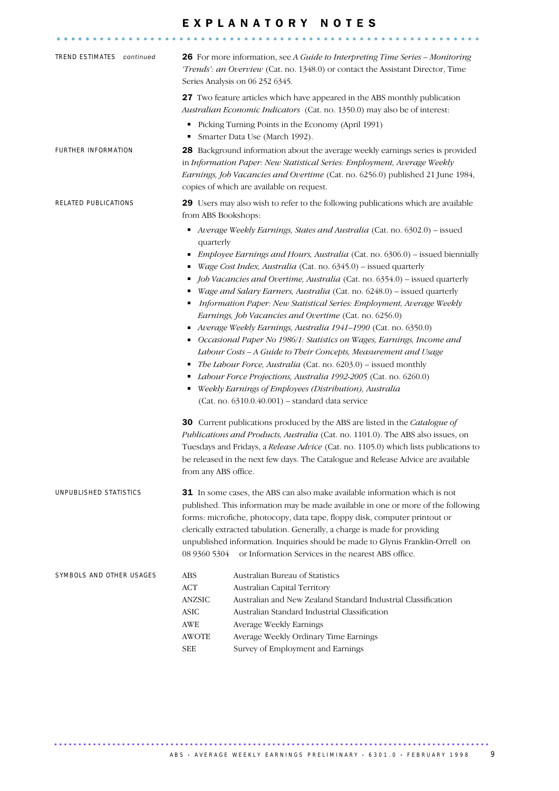# E X P L A N A T O R Y N O T E S ........................................................... .....

| TREND ESTIMATES continued | 26 For more information, see A Guide to Interpreting Time Series - Monitoring<br>'Trends': an Overview (Cat. no. 1348.0) or contact the Assistant Director, Time<br>Series Analysis on 06 252 6345.<br><b>27</b> Two feature articles which have appeared in the ABS monthly publication                                                                                                                                                                                                                                                                                                                                                                                                                                                                                                                                                                                                                                                                                                                                                                                                                                                                                                                                                                                                                                                       |
|---------------------------|------------------------------------------------------------------------------------------------------------------------------------------------------------------------------------------------------------------------------------------------------------------------------------------------------------------------------------------------------------------------------------------------------------------------------------------------------------------------------------------------------------------------------------------------------------------------------------------------------------------------------------------------------------------------------------------------------------------------------------------------------------------------------------------------------------------------------------------------------------------------------------------------------------------------------------------------------------------------------------------------------------------------------------------------------------------------------------------------------------------------------------------------------------------------------------------------------------------------------------------------------------------------------------------------------------------------------------------------|
|                           | Australian Economic Indicators (Cat. no. 1350.0) may also be of interest:<br>Picking Turning Points in the Economy (April 1991)<br>٠<br>Smarter Data Use (March 1992).<br>٠                                                                                                                                                                                                                                                                                                                                                                                                                                                                                                                                                                                                                                                                                                                                                                                                                                                                                                                                                                                                                                                                                                                                                                    |
| FURTHER INFORMATION       | 28 Background information about the average weekly earnings series is provided<br>in Information Paper: New Statistical Series: Employment, Average Weekly<br>Earnings, Job Vacancies and Overtime (Cat. no. 6256.0) published 21 June 1984,<br>copies of which are available on request.                                                                                                                                                                                                                                                                                                                                                                                                                                                                                                                                                                                                                                                                                                                                                                                                                                                                                                                                                                                                                                                      |
| RELATED PUBLICATIONS      | 29 Users may also wish to refer to the following publications which are available<br>from ABS Bookshops:                                                                                                                                                                                                                                                                                                                                                                                                                                                                                                                                                                                                                                                                                                                                                                                                                                                                                                                                                                                                                                                                                                                                                                                                                                       |
|                           | Average Weekly Earnings, States and Australia (Cat. no. 6302.0) - issued<br>٠<br>quarterly                                                                                                                                                                                                                                                                                                                                                                                                                                                                                                                                                                                                                                                                                                                                                                                                                                                                                                                                                                                                                                                                                                                                                                                                                                                     |
|                           | <i>Employee Earnings and Hours, Australia</i> (Cat. no. 6306.0) – issued biennially<br>$\blacksquare$<br>Wage Cost Index, Australia (Cat. no. 6345.0) - issued quarterly<br>Job Vacancies and Overtime, Australia (Cat. no. 6354.0) – issued quarterly<br>Wage and Salary Earners, Australia (Cat. no. 6248.0) - issued quarterly<br>Information Paper: New Statistical Series: Employment, Average Weekly<br>٠<br>Earnings, Job Vacancies and Overtime (Cat. no. 6256.0)<br>Average Weekly Earnings, Australia 1941-1990 (Cat. no. 6350.0)<br>Occasional Paper No 1986/1: Statistics on Wages, Earnings, Income and<br>٠<br>Labour Costs - A Guide to Their Concepts, Measurement and Usage<br>The Labour Force, Australia (Cat. no. 6203.0) – issued monthly<br>Labour Force Projections, Australia 1992-2005 (Cat. no. 6260.0)<br>٠<br>Weekly Earnings of Employees (Distribution), Australia<br>٠<br>$(Cat. no. 6310.0.40.001)$ - standard data service<br><b>30</b> Current publications produced by the ABS are listed in the <i>Catalogue of</i><br>Publications and Products, Australia (Cat. no. 1101.0). The ABS also issues, on<br>Tuesdays and Fridays, a Release Advice (Cat. no. 1105.0) which lists publications to<br>be released in the next few days. The Catalogue and Release Advice are available<br>from any ABS office. |
| UNPUBLISHED STATISTICS    | <b>31</b> In some cases, the ABS can also make available information which is not<br>published. This information may be made available in one or more of the following<br>forms: microfiche, photocopy, data tape, floppy disk, computer printout or<br>clerically extracted tabulation. Generally, a charge is made for providing<br>unpublished information. Inquiries should be made to Glynis Franklin-Orrell on<br>08 9360 5304<br>or Information Services in the nearest ABS office.                                                                                                                                                                                                                                                                                                                                                                                                                                                                                                                                                                                                                                                                                                                                                                                                                                                     |
| SYMBOLS AND OTHER USAGES  | Australian Bureau of Statistics<br>ABS<br><b>ACT</b><br>Australian Capital Territory<br>Australian and New Zealand Standard Industrial Classification<br>ANZSIC<br><b>ASIC</b><br>Australian Standard Industrial Classification<br><b>AWE</b><br>Average Weekly Earnings<br><b>AWOTE</b><br>Average Weekly Ordinary Time Earnings<br>Survey of Employment and Earnings<br><b>SEE</b>                                                                                                                                                                                                                                                                                                                                                                                                                                                                                                                                                                                                                                                                                                                                                                                                                                                                                                                                                           |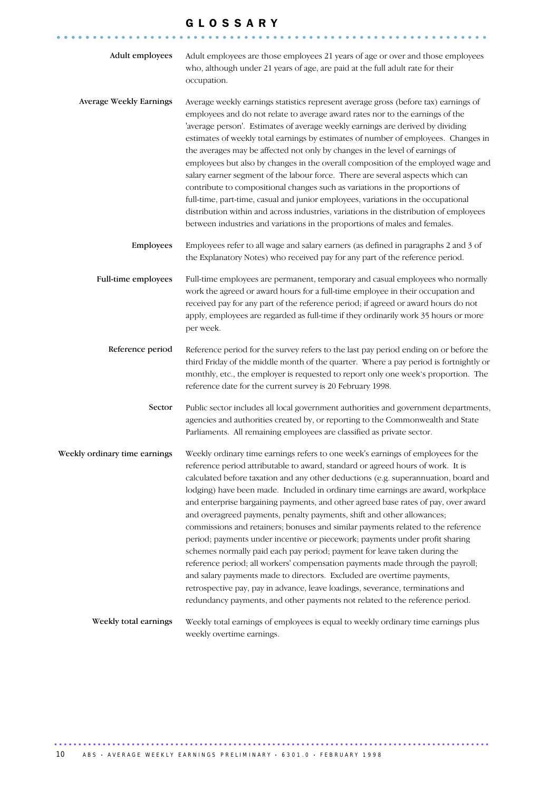## G L O S S A R Y

............................................................ .....

| Adult employees               | Adult employees are those employees 21 years of age or over and those employees<br>who, although under 21 years of age, are paid at the full adult rate for their<br>occupation.                                                                                                                                                                                                                                                                                                                                                                                                                                                                                                                                                                                                                                                                                                                                                                                                                                                                                                              |
|-------------------------------|-----------------------------------------------------------------------------------------------------------------------------------------------------------------------------------------------------------------------------------------------------------------------------------------------------------------------------------------------------------------------------------------------------------------------------------------------------------------------------------------------------------------------------------------------------------------------------------------------------------------------------------------------------------------------------------------------------------------------------------------------------------------------------------------------------------------------------------------------------------------------------------------------------------------------------------------------------------------------------------------------------------------------------------------------------------------------------------------------|
| Average Weekly Earnings       | Average weekly earnings statistics represent average gross (before tax) earnings of<br>employees and do not relate to average award rates nor to the earnings of the<br>'average person'. Estimates of average weekly earnings are derived by dividing<br>estimates of weekly total earnings by estimates of number of employees. Changes in<br>the averages may be affected not only by changes in the level of earnings of<br>employees but also by changes in the overall composition of the employed wage and<br>salary earner segment of the labour force. There are several aspects which can<br>contribute to compositional changes such as variations in the proportions of<br>full-time, part-time, casual and junior employees, variations in the occupational<br>distribution within and across industries, variations in the distribution of employees<br>between industries and variations in the proportions of males and females.                                                                                                                                              |
| Employees                     | Employees refer to all wage and salary earners (as defined in paragraphs 2 and 3 of<br>the Explanatory Notes) who received pay for any part of the reference period.                                                                                                                                                                                                                                                                                                                                                                                                                                                                                                                                                                                                                                                                                                                                                                                                                                                                                                                          |
| Full-time employees           | Full-time employees are permanent, temporary and casual employees who normally<br>work the agreed or award hours for a full-time employee in their occupation and<br>received pay for any part of the reference period; if agreed or award hours do not<br>apply, employees are regarded as full-time if they ordinarily work 35 hours or more<br>per week.                                                                                                                                                                                                                                                                                                                                                                                                                                                                                                                                                                                                                                                                                                                                   |
| Reference period              | Reference period for the survey refers to the last pay period ending on or before the<br>third Friday of the middle month of the quarter. Where a pay period is fortnightly or<br>monthly, etc., the employer is requested to report only one week's proportion. The<br>reference date for the current survey is 20 February 1998.                                                                                                                                                                                                                                                                                                                                                                                                                                                                                                                                                                                                                                                                                                                                                            |
| Sector                        | Public sector includes all local government authorities and government departments,<br>agencies and authorities created by, or reporting to the Commonwealth and State<br>Parliaments. All remaining employees are classified as private sector.                                                                                                                                                                                                                                                                                                                                                                                                                                                                                                                                                                                                                                                                                                                                                                                                                                              |
| Weekly ordinary time earnings | Weekly ordinary time earnings refers to one week's earnings of employees for the<br>reference period attributable to award, standard or agreed hours of work. It is<br>calculated before taxation and any other deductions (e.g. superannuation, board and<br>lodging) have been made. Included in ordinary time earnings are award, workplace<br>and enterprise bargaining payments, and other agreed base rates of pay, over award<br>and overagreed payments, penalty payments, shift and other allowances;<br>commissions and retainers; bonuses and similar payments related to the reference<br>period; payments under incentive or piecework; payments under profit sharing<br>schemes normally paid each pay period; payment for leave taken during the<br>reference period; all workers' compensation payments made through the payroll;<br>and salary payments made to directors. Excluded are overtime payments,<br>retrospective pay, pay in advance, leave loadings, severance, terminations and<br>redundancy payments, and other payments not related to the reference period. |
| Weekly total earnings         | Weekly total earnings of employees is equal to weekly ordinary time earnings plus<br>weekly overtime earnings.                                                                                                                                                                                                                                                                                                                                                                                                                                                                                                                                                                                                                                                                                                                                                                                                                                                                                                                                                                                |